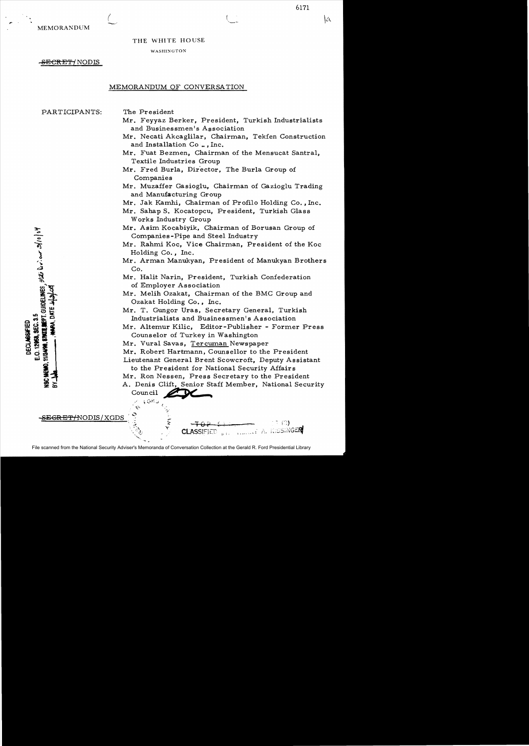MEMORANDUM

# THE WHITE HOUSE

#### WASHINGTON

-<del>SECRET/</del> NODIS

(

## MEMORANDUM OF CONVERSATION

PARTICIPANTS:

**4° 0 1/4**  $\bullet$  $\mathcal{L}$  $\sum_{i=1}^{n}$ 

E.O. 12968, SEC. 3.5 **DECLABOAFIED** 

- The President
- Mr. Feyyaz Berker, President, Turkish Industrialists and Businessmen's Association

6171

lα

- Mr. Necati Akcaglilar, Chairman, Tekfen Construction and Installation Co..., Inc.
- Mr. Fuat Bezmen, Chairman of the Mensucat Santral, Textile Industries Group
- Mr. Fred Burla, Director, The Burla Group of Companies
- Mr. Muzaffer Gasioglu, Chairman of Gazioglu Trading and Manufacturing Group
- Mr. Jak Kamhi, Chairman of Profilo Holding Co. , Inc.
- Mr. Sahap S. Kocatopcu, President, Turkish Glass Works Industry Group
- Mr. Asim Kocabiyik, Chairman of Borusan Group of Companies-Pipe and Steel Industry
- Mr. Rahmi Koc, Vice Chairman, President of the Koc Holding Co., Inc.
- Mr. Arman Manukyan, President of Manukyan Brothers Co.
- Mr. Halit Narin, President, Turkish Confederation of Employer Association

Mr. Melih Ozakat, Chairman of the BMC Group and Ozakat Holding Co., Inc.

Mr. T. Gungor Uras. Secretary General. Turkish Industrialists and Businessmen's Association

Mr. Altemur Kilic, Editor-Publisher - Former Press Counselor of Turkey in Washington

- Mr. Vural Savas, Tercuman Newspaper
- Mr. Robert Hartmann, Counsellor to the President

Lieutenant General Brent Scowcroft, Deputy Assistant to the President for National Security Affairs

Mr. Ron Nessen, Press Secretary to the President

A. Denis Clift, Senior Staff Member, National Security council ... **•** 

<del>:EGRET/</del>NODIS/XGDS

 $-7076$ 7 (C) **A. KISSINGER CLASSIFIED** 

 $\sqrt{3}$  or  $\sqrt{3}$ 

 $\mathcal{C}$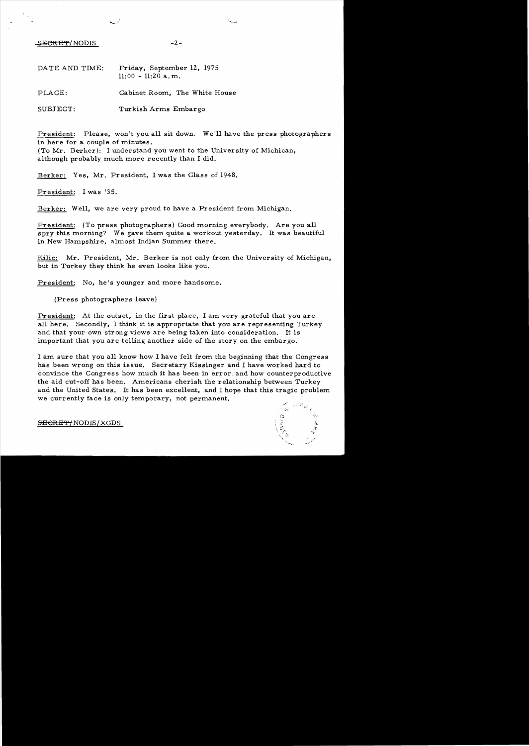$-2$  -  $-2$  -

| DATE AND TIME: | Friday, September 12, 1975<br>$11:00 - 11:20$ a, m. |  |  |  |  |
|----------------|-----------------------------------------------------|--|--|--|--|
| PLACE:         | Cabinet Room, The White House                       |  |  |  |  |
| SUBJECT:       | Turkish Arms Embargo                                |  |  |  |  |

President: Please, won't you all sit down. We'll have the press photographers in here for a couple of minutes.

(To Mr. Berker): I understand you went to the University of Michican, although probably much more recently than I did.

Berker: Yes, Mr. President, I was the Class of 1948.

President: I was '35.

Berker: Well, we are very proud to have a President from Michigan.

President: (To press photographers) Good morning everybody. Are you all spry this morning? We gave them quite a workout yesterday. It was beautiful in New Hampshire, almost Indian Summer there.

Kilic: Mr. President, Mr. Berker is not only from the University of Michigan, but in Turkey they think he even looks like you.

President: No, he's younger and more handsome.

(Press photographers leave)

President: At the outset, in the first place, I am very grateful that you are all here. Secondly, I think it is appropriate that you are representing Turkey and that your own strong views are being taken into consideration. It is important that you are telling another side of the story on the embargo.

I am. sure that you all know how I have felt from. the beginning that the Congress has been wrong on this issue. Secretary Kissinger and I have worked hard to convince the Congress how much it has been in error, and how counterproductive the aid cut-off has been. Americans cherish the relationship between Turkey and the United States. It has been excellent, and I hope that this tragic problem. we currently face is only temporary, not permanent.



SECRET/NODIS/XGDS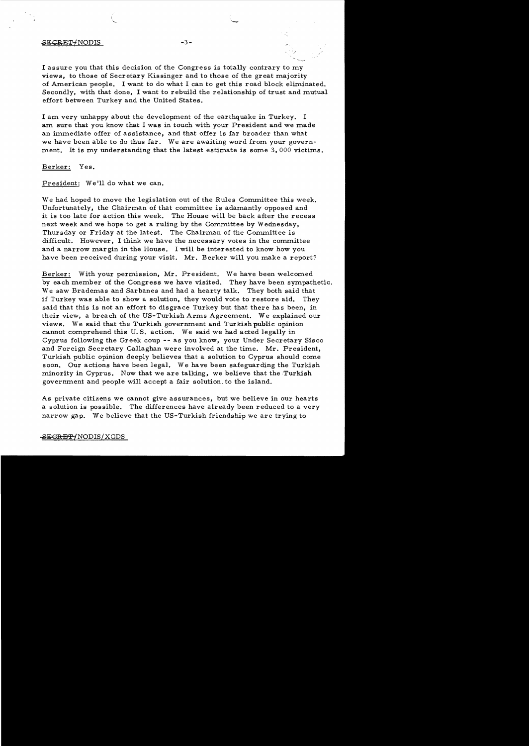### SECRET/NODIS -3-

I assure you that this decision of the Congress is totally contrary to my views, to those of Secretary Kissinger and to those of the great majority of American people. I want to do what I can to get this road block eliminated. Secondly. with that done, I want to rebuild the relationship of trust and mutual effort between Turkey and the United States.

I am very unhappy about the development of the earthquake in Turkey. I am sure that you know that I was in touch with your President and we made an immediate offer of assistance, and that offer is far broader than what we have been able to do thus far. We are awaiting word from your government. It is my understanding that the latest estimate is some 3,000 victims.

Berker: Yes.

President: We'll do what we can.

We had hoped to move the legislation out of the Rules Committee this week. Unfortunately, the Chairman of that committee is adamantly opposed and it is too late for action this week. The House will be back after the recess next week and we hope to get a ruling by the Committee by Wednesday, Thursday or Friday at the latest. The Chairman of the Committee is difficult. However, I think we have the necessary votes in the committee and a narrow margin in the House. I will be interested to know how you have been received during your visit. Mr. Berker will you make a report?

Berker: With your permission, Mr. President. We have been welcomed by each member of the Congress we have visited. They have been sympathetic. We saw Brademas and Sarbanes and had a hearty talk. They both said that if Turkey was able to show a solution, they would vote to restore aid. They said that this is not an effort to disgrace Turkey but that there has been, in their view, a breach of the US-Turkish Arms Agreement. We explained our views. We said that the Turkish government and Turkishpublic opinion cannot comprehend this U. S. action. We said we had acted legally in Cyprus following the Greek coup -- as you know, your Under Secretary Sisco and Foreign Secretary Callaghan were involved at the time. Mr. President, Turkish public opinion deeply believes that a solution to Cyprus should come soon. Our actions have been legal. We have been safeguarding the Turkish minority in Cyprus. Now that we are talking, we believe that the Turkish government and people will accept a fair solution. to the island.

As private citizens we cannot give assurances, but we believe in our hearts a solution is possible. The differences have already been reduced to a very narrow gap. We believe that the US-Turkish friendship we are trying to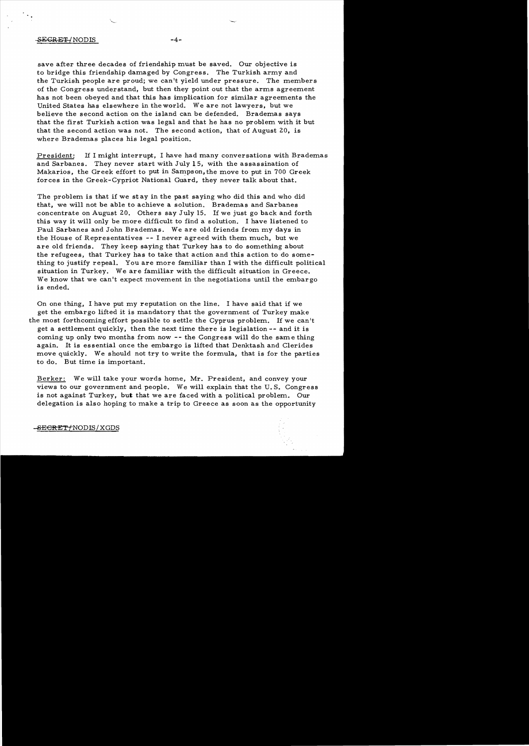### -SEGRET-/NODIS -4

save after three decades of friendship must be saved. Our objective is to bridge this friendship damaged by Congress. The Turkish army and the Turkish people are proud; we canlt yield under pressure. The members of the Congress understand, but then they point out that the arms agreement has not been obeyed and that this has implication for similar agreements the United States has elsewhere in the world. We are not lawyers, but we believe the second action on the island can be defended. Brademas says that the first Turkish action was legal and that he has no problem with it but that the second action was not. The second action, that of August 20, is where Brademas places his legal position.

President: If I might interrupt, I have had many conversations with Brademas and Sarbanes. They never start with July 15, with the assassination of Makarios, the Greek effort to put in Sampson, the move to put in 700 Greek forces in the Greek-Cypriot National Guard, they never talk about that.

The problem is that if we stay in the past saying who did this and who did that, we will not be able to achieve a solution. Brademas and Sarbanes concentrate on August 20. Others say July 15. 1£ we just go back and forth this way it will only be more difficult to find a solution. I have listened to Paul Sarbanes and John Brademas. We are old friends from my days in the House of Representatives -- I never agreed with them much, but we are old friends. They keep saying that Turkey has to do something about the refugees, that Turkey has to take that action and this action to do something to justify repeal. You are more familiar than I with the difficult political situation in Turkey. We are familiar with the difficult situation in Greece. We know that we can't expect movement in the negotiations until the embargo is ended.

On one thing, I have put my reputation on the line. I have said that if we get the embargo lifted it is mandatory that the government of Turkey make the most forthcoming effort possible to settle the Cyprus problem. If we can't get a settlement quickly, then the next time there is legislation -- and it is coming up only two months from now -- the Congress will do the same thing again. It is essential once the embargo is lifted that Denktash and Clerides move quickly. We should not try to write the formula, that is for the parties to do. But time is important.

Berker: We will take your words home, Mr. President, and convey your views to our government and people. We will explain that the U. S. Congress is not against Turkey, but that we are faced with a political problem. Our delegation is also hoping to make a trip to Greece as soon as the opportunity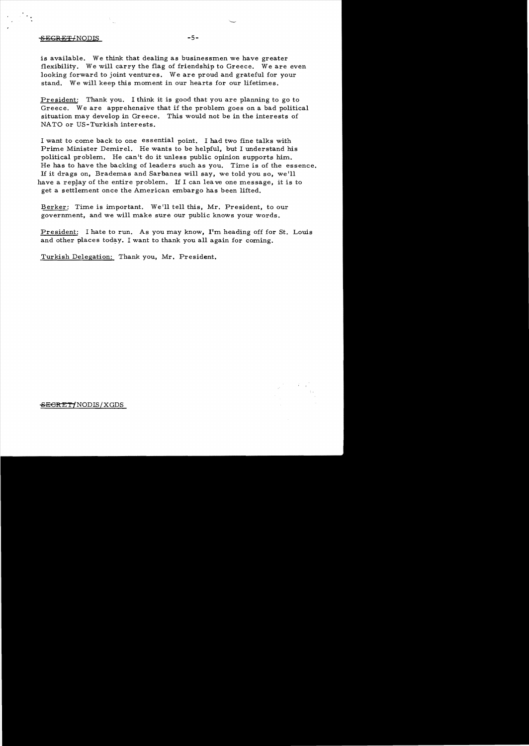# SEGRET/NODIS -5-

is available. We think that dealing as businessmen we have greater flexibility. We will carry the flag of friendship to Greece. We are even looking forward to joint ventures. We are proud and grateful for your stand. We will keep this moment in our hearts for our lifetimes.

President: Thank you. I think it is good that you are planning to go to Greece. We are apprehensive that if the problem goes on a bad political situation may develop in Greece. This would not be in the interests of NATO or US-Turkish interests.

I want to come back to one essential point. I had two fine talks with Prime Minister Demirel. He wants to be helpful, but I understand his political problem. He can't do it unless public opinion supports him. He has to have the backing of leaders such as you. Time is of the essence. If it drags on, Brademas and Sarbanes will say, we told you so, we'll have a replay of the entire problem. If I can leave one message, it is to get a settlement once the American embargo has been lifted.

Berker: Time is important. We'll tell this, Mr. President, to our government, and we will make sure our public knows your words.

President: I hate to run. As you may know, **I'm** heading off for St. Louis and other places today. I want to thank you all again for coming.

Turkish Delegation: Thank you, Mr. President.

**SECRET/NODIS/XGDS**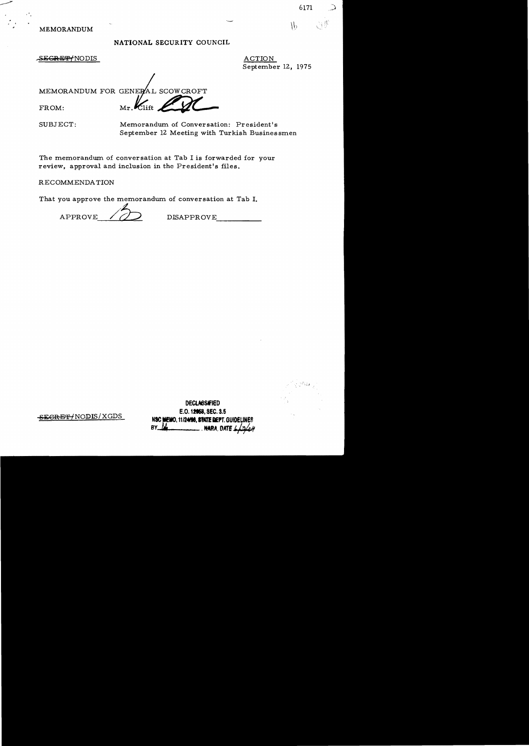MEMORANDUM

# NATIONAL SECURITY COUNCIL

SE<del>GRET/</del>NODIS

ACTION September 12, 1975

6171

 $\mathcal{L}$ 

MEMORANDUM FOR GENERAL SCOWCROFT  $\mathcal{K}_{\text{lift}}$ 

FROM:

SUBJECT: Memorandum of Conversation: President's September 12 Meeting with Turkish Businessmen

The memorandum of conversation at Tab I is forwarded for your review, approval and inclusion in the President's files.

RECOMMENDA TION

That you approve the memorandum of conversation at Tab I.

APPROVE  $\bigcirc$  DISAPPROVE

 $^{\circ}$  '. i. j

**DEClASSIFIED**  E.O. 12058, SEC. 3.5 **SEGRET/NODIS/XGDS** NSC MEMO, 11/24/96, STATE DEPT. GUIDELINES BY . **NMA, DATE #**